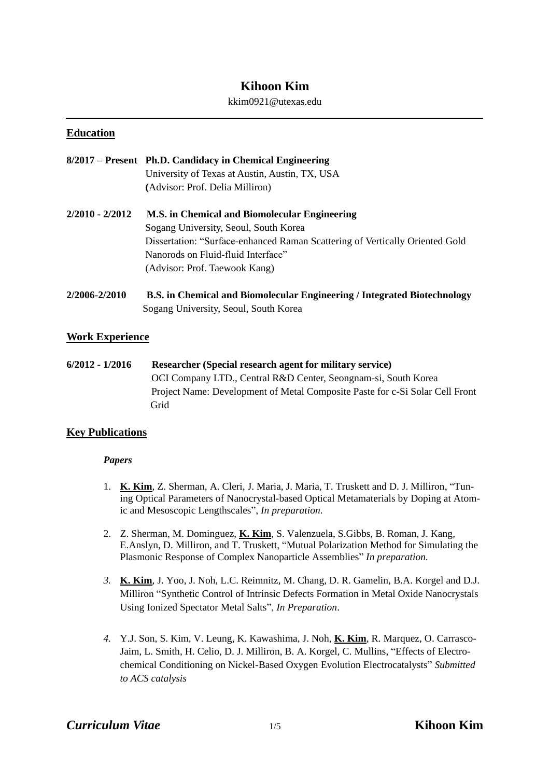# **Kihoon Kim**

#### kkim0921@utexas.edu

# **Education**

|                 | 8/2017 – Present Ph.D. Candidacy in Chemical Engineering<br>University of Texas at Austin, Austin, TX, USA<br>(Advisor: Prof. Delia Milliron)                                                                                                 |
|-----------------|-----------------------------------------------------------------------------------------------------------------------------------------------------------------------------------------------------------------------------------------------|
| 2/2010 - 2/2012 | M.S. in Chemical and Biomolecular Engineering<br>Sogang University, Seoul, South Korea<br>Dissertation: "Surface-enhanced Raman Scattering of Vertically Oriented Gold<br>Nanorods on Fluid-fluid Interface"<br>(Advisor: Prof. Taewook Kang) |
| ን/ኃስበፉ ኃ/ኃስ1በ   | R.S. in Chamical and Riamologylax Engineering / Integrated Rictochnology                                                                                                                                                                      |

**2/2006-2/2010 B.S. in Chemical and Biomolecular Engineering / Integrated Biotechnology** Sogang University, Seoul, South Korea

# **Work Experience**

**6/2012 - 1/2016 Researcher (Special research agent for military service)** OCI Company LTD., Central R&D Center, Seongnam-si, South Korea Project Name: Development of Metal Composite Paste for c-Si Solar Cell Front Grid

# **Key Publications**

# *Papers*

- 1. **K. Kim**, Z. Sherman, A. Cleri, J. Maria, J. Maria, T. Truskett and D. J. Milliron, "Tuning Optical Parameters of Nanocrystal-based Optical Metamaterials by Doping at Atomic and Mesoscopic Lengthscales", *In preparation.*
- 2. Z. Sherman, M. Dominguez, **K. Kim**, S. Valenzuela, S.Gibbs, B. Roman, J. Kang, E.Anslyn, D. Milliron, and T. Truskett, "Mutual Polarization Method for Simulating the Plasmonic Response of Complex Nanoparticle Assemblies" *In preparation.*
- *3.* **K. Kim**, J. Yoo, J. Noh, L.C. Reimnitz, M. Chang, D. R. Gamelin, B.A. Korgel and D.J. Milliron "Synthetic Control of Intrinsic Defects Formation in Metal Oxide Nanocrystals Using Ionized Spectator Metal Salts", *In Preparation*.
- *4.* Y.J. Son, S. Kim, V. Leung, K. Kawashima, J. Noh, **K. Kim**, R. Marquez, O. Carrasco-Jaim, L. Smith, H. Celio, D. J. Milliron, B. A. Korgel, C. Mullins, "Effects of Electrochemical Conditioning on Nickel-Based Oxygen Evolution Electrocatalysts" *Submitted to ACS catalysis*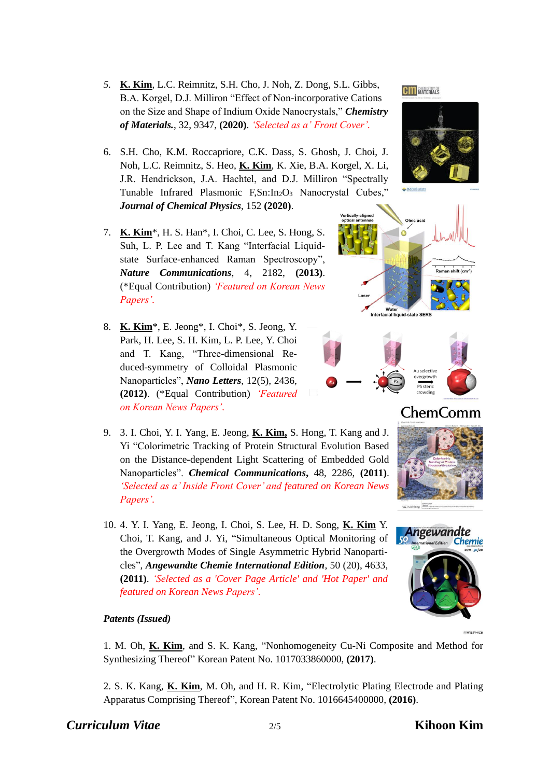- *5.* **K. Kim**, L.C. Reimnitz, S.H. Cho, J. Noh, Z. Dong, S.L. Gibbs, B.A. Korgel, D.J. Milliron "Effect of Non-incorporative Cations on the Size and Shape of Indium Oxide Nanocrystals," *Chemistry of Materials.*, 32, 9347, **(2020)**. *'Selected as a' Front Cover'.*
- 6. S.H. Cho, K.M. Roccapriore, C.K. Dass, S. Ghosh, J. Choi, J. Noh, L.C. Reimnitz, S. Heo, **K. Kim**, K. Xie, B.A. Korgel, X. Li, J.R. Hendrickson, J.A. Hachtel, and D.J. Milliron "Spectrally Tunable Infrared Plasmonic F,Sn:In<sub>2</sub>O<sub>3</sub> Nanocrystal Cubes," *Journal of Chemical Physics*, 152 **(2020)**.
- 7. **K. Kim**\*, H. S. Han\*, I. Choi, C. Lee, S. Hong, S. Suh, L. P. Lee and T. Kang "Interfacial Liquidstate Surface-enhanced Raman Spectroscopy", *Nature Communications*, 4, 2182, **(2013)**. (\*Equal Contribution) *'Featured on Korean News Papers'.*
- 8. **K. Kim**\*, E. Jeong\*, I. Choi\*, S. Jeong, Y. Park, H. Lee, S. H. Kim, L. P. Lee, Y. Choi and T. Kang, "Three-dimensional Reduced-symmetry of Colloidal Plasmonic Nanoparticles", *Nano Letters*, 12(5), 2436, **(2012)**. (\*Equal Contribution) *'Featured on Korean News Papers'.*
- 9. 3. I. Choi, Y. I. Yang, E. Jeong, **K. Kim,** S. Hong, T. Kang and J. Yi "Colorimetric Tracking of Protein Structural Evolution Based on the Distance-dependent Light Scattering of Embedded Gold Nanoparticles". *Chemical Communications***,** 48, 2286, **(2011)**. *'Selected as a' Inside Front Cover' and featured on Korean News Papers'.*
- 10. 4. Y. I. Yang, E. Jeong, I. Choi, S. Lee, H. D. Song, **K. Kim** Y. Choi, T. Kang, and J. Yi, "Simultaneous Optical Monitoring of the Overgrowth Modes of Single Asymmetric Hybrid Nanoparticles", *Angewandte Chemie International Edition*, 50 (20), 4633, **(2011)**. *'Selected as a 'Cover Page Article' and 'Hot Paper' and featured on Korean News Papers'.*

# *Patents (Issued)*

1. M. Oh, **K. Kim**, and S. K. Kang, "Nonhomogeneity Cu-Ni Composite and Method for Synthesizing Thereof" Korean Patent No. 1017033860000, **(2017)**.

2. S. K. Kang, **K. Kim**, M. Oh, and H. R. Kim, "Electrolytic Plating Electrode and Plating Apparatus Comprising Thereof", Korean Patent No. 1016645400000, **(2016)**.

# *Curriculum Vitae* 2/5 **Kihoon Kim**



**CM** MATERIALS







# ChemComm



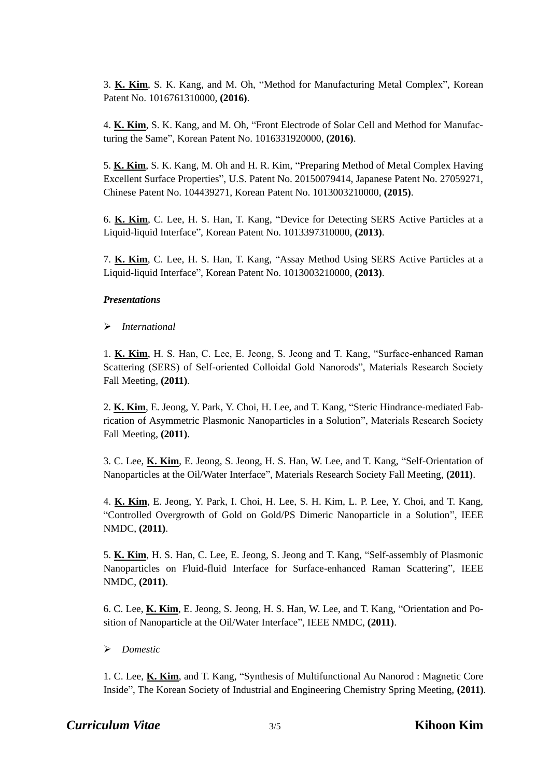3. **K. Kim**, S. K. Kang, and M. Oh, "Method for Manufacturing Metal Complex", Korean Patent No. 1016761310000, **(2016)**.

4. **K. Kim**, S. K. Kang, and M. Oh, "Front Electrode of Solar Cell and Method for Manufacturing the Same", Korean Patent No. 1016331920000, **(2016)**.

5. **K. Kim**, S. K. Kang, M. Oh and H. R. Kim, "Preparing Method of Metal Complex Having Excellent Surface Properties", U.S. Patent No. 20150079414, Japanese Patent No. 27059271, Chinese Patent No. 104439271, Korean Patent No. 1013003210000, **(2015)**.

6. **K. Kim**, C. Lee, H. S. Han, T. Kang, "Device for Detecting SERS Active Particles at a Liquid-liquid Interface", Korean Patent No. 1013397310000, **(2013)**.

7. **K. Kim**, C. Lee, H. S. Han, T. Kang, "Assay Method Using SERS Active Particles at a Liquid-liquid Interface", Korean Patent No. 1013003210000, **(2013)**.

#### *Presentations*

#### ➢ *International*

1. **K. Kim**, H. S. Han, C. Lee, E. Jeong, S. Jeong and T. Kang, "Surface-enhanced Raman Scattering (SERS) of Self-oriented Colloidal Gold Nanorods", Materials Research Society Fall Meeting, **(2011)**.

2. **K. Kim**, E. Jeong, Y. Park, Y. Choi, H. Lee, and T. Kang, "Steric Hindrance-mediated Fabrication of Asymmetric Plasmonic Nanoparticles in a Solution", Materials Research Society Fall Meeting, **(2011)**.

3. C. Lee, **K. Kim**, E. Jeong, S. Jeong, H. S. Han, W. Lee, and T. Kang, "Self-Orientation of Nanoparticles at the Oil/Water Interface", Materials Research Society Fall Meeting, **(2011)**.

4. **K. Kim**, E. Jeong, Y. Park, I. Choi, H. Lee, S. H. Kim, L. P. Lee, Y. Choi, and T. Kang, "Controlled Overgrowth of Gold on Gold/PS Dimeric Nanoparticle in a Solution", IEEE NMDC, **(2011)**.

5. **K. Kim**, H. S. Han, C. Lee, E. Jeong, S. Jeong and T. Kang, "Self-assembly of Plasmonic Nanoparticles on Fluid-fluid Interface for Surface-enhanced Raman Scattering", IEEE NMDC, **(2011)**.

6. C. Lee, **K. Kim**, E. Jeong, S. Jeong, H. S. Han, W. Lee, and T. Kang, "Orientation and Position of Nanoparticle at the Oil/Water Interface", IEEE NMDC, **(2011)**.

# ➢ *Domestic*

1. C. Lee, **K. Kim**, and T. Kang, "Synthesis of Multifunctional Au Nanorod : Magnetic Core Inside", The Korean Society of Industrial and Engineering Chemistry Spring Meeting, **(2011)**.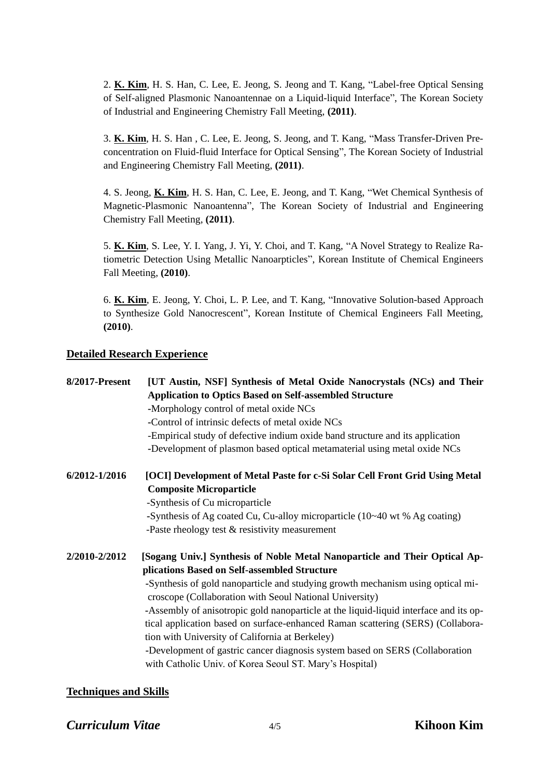2. **K. Kim**, H. S. Han, C. Lee, E. Jeong, S. Jeong and T. Kang, "Label-free Optical Sensing of Self-aligned Plasmonic Nanoantennae on a Liquid-liquid Interface", The Korean Society of Industrial and Engineering Chemistry Fall Meeting, **(2011)**.

3. **K. Kim**, H. S. Han , C. Lee, E. Jeong, S. Jeong, and T. Kang, "Mass Transfer-Driven Preconcentration on Fluid-fluid Interface for Optical Sensing", The Korean Society of Industrial and Engineering Chemistry Fall Meeting, **(2011)**.

4. S. Jeong, **K. Kim**, H. S. Han, C. Lee, E. Jeong, and T. Kang, "Wet Chemical Synthesis of Magnetic-Plasmonic Nanoantenna", The Korean Society of Industrial and Engineering Chemistry Fall Meeting, **(2011)**.

5. **K. Kim**, S. Lee, Y. I. Yang, J. Yi, Y. Choi, and T. Kang, "A Novel Strategy to Realize Ratiometric Detection Using Metallic Nanoarpticles", Korean Institute of Chemical Engineers Fall Meeting, **(2010)**.

6. **K. Kim**, E. Jeong, Y. Choi, L. P. Lee, and T. Kang, "Innovative Solution-based Approach to Synthesize Gold Nanocrescent", Korean Institute of Chemical Engineers Fall Meeting, **(2010)**.

# **Detailed Research Experience**

| 8/2017-Present | [UT Austin, NSF] Synthesis of Metal Oxide Nanocrystals (NCs) and Their<br><b>Application to Optics Based on Self-assembled Structure</b><br>-Morphology control of metal oxide NCs<br>-Control of intrinsic defects of metal oxide NCs<br>-Empirical study of defective indium oxide band structure and its application<br>-Development of plasmon based optical metamaterial using metal oxide NCs                                                                                                                                                                                                                                                |
|----------------|----------------------------------------------------------------------------------------------------------------------------------------------------------------------------------------------------------------------------------------------------------------------------------------------------------------------------------------------------------------------------------------------------------------------------------------------------------------------------------------------------------------------------------------------------------------------------------------------------------------------------------------------------|
| 6/2012-1/2016  | [OCI] Development of Metal Paste for c-Si Solar Cell Front Grid Using Metal<br><b>Composite Microparticle</b><br>-Synthesis of Cu microparticle<br>-Synthesis of Ag coated Cu, Cu-alloy microparticle (10~40 wt % Ag coating)<br>-Paste rheology test $&$ resistivity measurement                                                                                                                                                                                                                                                                                                                                                                  |
| 2/2010-2/2012  | [Sogang Univ.] Synthesis of Noble Metal Nanoparticle and Their Optical Ap-<br>plications Based on Self-assembled Structure<br>-Synthesis of gold nanoparticle and studying growth mechanism using optical mi-<br>croscope (Collaboration with Seoul National University)<br>-Assembly of anisotropic gold nanoparticle at the liquid-liquid interface and its op-<br>tical application based on surface-enhanced Raman scattering (SERS) (Collabora-<br>tion with University of California at Berkeley)<br>-Development of gastric cancer diagnosis system based on SERS (Collaboration<br>with Catholic Univ. of Korea Seoul ST. Mary's Hospital) |

# **Techniques and Skills**

# *Curriculum Vitae* 4/5 **Kihoon Kim**